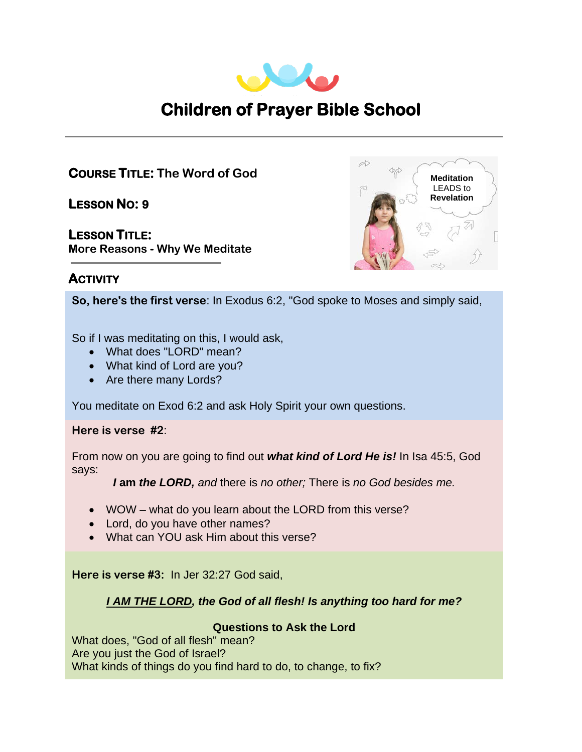

# **COURSE TITLE: The Word of God**

**LESSON NO: 9** 

**LESSON TITLE: More Reasons - Why We Meditate**



# **ACTIVITY**

**So, here's the first verse**: In Exodus 6:2, "God spoke to Moses and simply said,

**I AM THE LORD IS A THE LORD IN THE LORD IS A THE LORD IN THE LORD IS A THE LORD IN THE LORD IS A THE LORD IN T**<br> **I** AM THE LORD **IS A THE LORD IN THE LORD IS A THE LORD IN THE LORD IS A THE LORD IN THE LORD IS A THE LORD** 

- What does "LORD" mean?
- What kind of Lord are you?
- Are there many Lords?

You meditate on Exod 6:2 and ask Holy Spirit your own questions.

**Here is verse #2**:

From now on you are going to find out *what kind of Lord He is!* In Isa 45:5, God says:

*I* **am** *the LORD, and* there is *no other;* There is *no God besides me.*

- WOW what do you learn about the LORD from this verse?
- Lord, do you have other names?
- What can YOU ask Him about this verse?

**Here is verse #3:** In Jer 32:27 God said,

## *I AM THE LORD, the God of all flesh! Is anything too hard for me?*

## **Questions to Ask the Lord**

What does, "God of all flesh" mean? Are you just the God of Israel? What kinds of things do you find hard to do, to change, to fix?